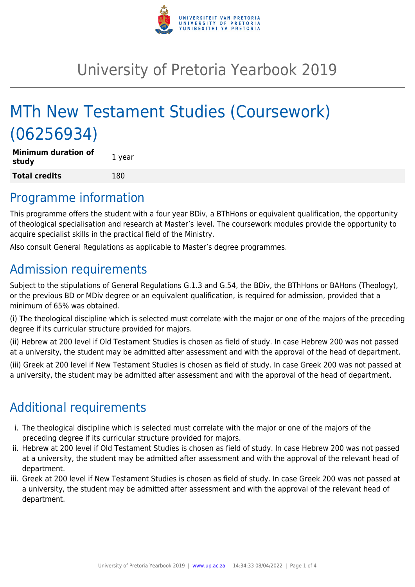

# University of Pretoria Yearbook 2019

# MTh New Testament Studies (Coursework) (06256934)

| <b>Minimum duration of</b><br>study | 1 year |
|-------------------------------------|--------|
| <b>Total credits</b>                | 180    |

### Programme information

This programme offers the student with a four year BDiv, a BThHons or equivalent qualification, the opportunity of theological specialisation and research at Master's level. The coursework modules provide the opportunity to acquire specialist skills in the practical field of the Ministry.

Also consult General Regulations as applicable to Master's degree programmes.

# Admission requirements

Subject to the stipulations of General Regulations G.1.3 and G.54, the BDiv, the BThHons or BAHons (Theology), or the previous BD or MDiv degree or an equivalent qualification, is required for admission, provided that a minimum of 65% was obtained.

(i) The theological discipline which is selected must correlate with the major or one of the majors of the preceding degree if its curricular structure provided for majors.

(ii) Hebrew at 200 level if Old Testament Studies is chosen as field of study. In case Hebrew 200 was not passed at a university, the student may be admitted after assessment and with the approval of the head of department.

(iii) Greek at 200 level if New Testament Studies is chosen as field of study. In case Greek 200 was not passed at a university, the student may be admitted after assessment and with the approval of the head of department.

## Additional requirements

- i. The theological discipline which is selected must correlate with the major or one of the majors of the preceding degree if its curricular structure provided for majors.
- ii. Hebrew at 200 level if Old Testament Studies is chosen as field of study. In case Hebrew 200 was not passed at a university, the student may be admitted after assessment and with the approval of the relevant head of department.
- iii. Greek at 200 level if New Testament Studies is chosen as field of study. In case Greek 200 was not passed at a university, the student may be admitted after assessment and with the approval of the relevant head of department.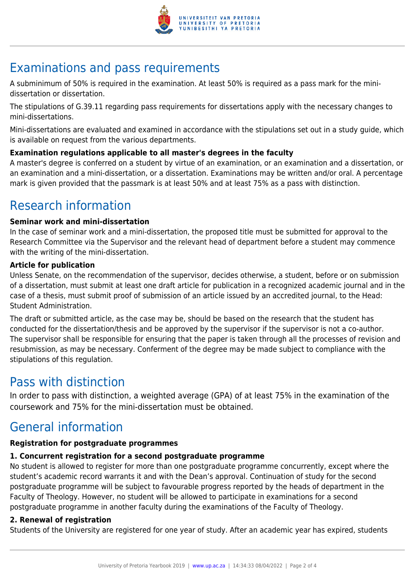

# Examinations and pass requirements

A subminimum of 50% is required in the examination. At least 50% is required as a pass mark for the minidissertation or dissertation.

The stipulations of G.39.11 regarding pass requirements for dissertations apply with the necessary changes to mini-dissertations.

Mini-dissertations are evaluated and examined in accordance with the stipulations set out in a study guide, which is available on request from the various departments.

### **Examination regulations applicable to all master's degrees in the faculty**

A master's degree is conferred on a student by virtue of an examination, or an examination and a dissertation, or an examination and a mini-dissertation, or a dissertation. Examinations may be written and/or oral. A percentage mark is given provided that the passmark is at least 50% and at least 75% as a pass with distinction.

## Research information

#### **Seminar work and mini-dissertation**

In the case of seminar work and a mini-dissertation, the proposed title must be submitted for approval to the Research Committee via the Supervisor and the relevant head of department before a student may commence with the writing of the mini-dissertation.

#### **Article for publication**

Unless Senate, on the recommendation of the supervisor, decides otherwise, a student, before or on submission of a dissertation, must submit at least one draft article for publication in a recognized academic journal and in the case of a thesis, must submit proof of submission of an article issued by an accredited journal, to the Head: Student Administration.

The draft or submitted article, as the case may be, should be based on the research that the student has conducted for the dissertation/thesis and be approved by the supervisor if the supervisor is not a co-author. The supervisor shall be responsible for ensuring that the paper is taken through all the processes of revision and resubmission, as may be necessary. Conferment of the degree may be made subject to compliance with the stipulations of this regulation.

### Pass with distinction

In order to pass with distinction, a weighted average (GPA) of at least 75% in the examination of the coursework and 75% for the mini-dissertation must be obtained.

### General information

### **Registration for postgraduate programmes**

### **1. Concurrent registration for a second postgraduate programme**

No student is allowed to register for more than one postgraduate programme concurrently, except where the student's academic record warrants it and with the Dean's approval. Continuation of study for the second postgraduate programme will be subject to favourable progress reported by the heads of department in the Faculty of Theology. However, no student will be allowed to participate in examinations for a second postgraduate programme in another faculty during the examinations of the Faculty of Theology.

### **2. Renewal of registration**

Students of the University are registered for one year of study. After an academic year has expired, students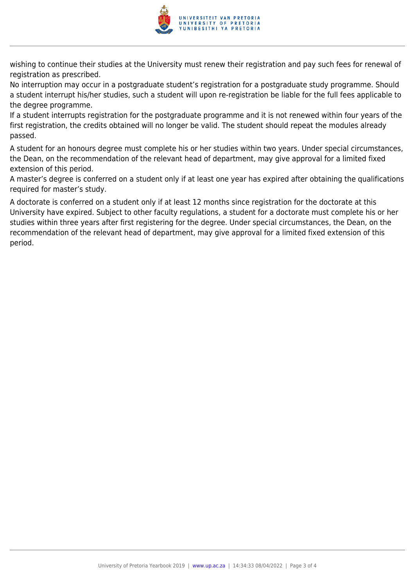

wishing to continue their studies at the University must renew their registration and pay such fees for renewal of registration as prescribed.

No interruption may occur in a postgraduate student's registration for a postgraduate study programme. Should a student interrupt his/her studies, such a student will upon re-registration be liable for the full fees applicable to the degree programme.

If a student interrupts registration for the postgraduate programme and it is not renewed within four years of the first registration, the credits obtained will no longer be valid. The student should repeat the modules already passed.

A student for an honours degree must complete his or her studies within two years. Under special circumstances, the Dean, on the recommendation of the relevant head of department, may give approval for a limited fixed extension of this period.

A master's degree is conferred on a student only if at least one year has expired after obtaining the qualifications required for master's study.

A doctorate is conferred on a student only if at least 12 months since registration for the doctorate at this University have expired. Subject to other faculty regulations, a student for a doctorate must complete his or her studies within three years after first registering for the degree. Under special circumstances, the Dean, on the recommendation of the relevant head of department, may give approval for a limited fixed extension of this period.